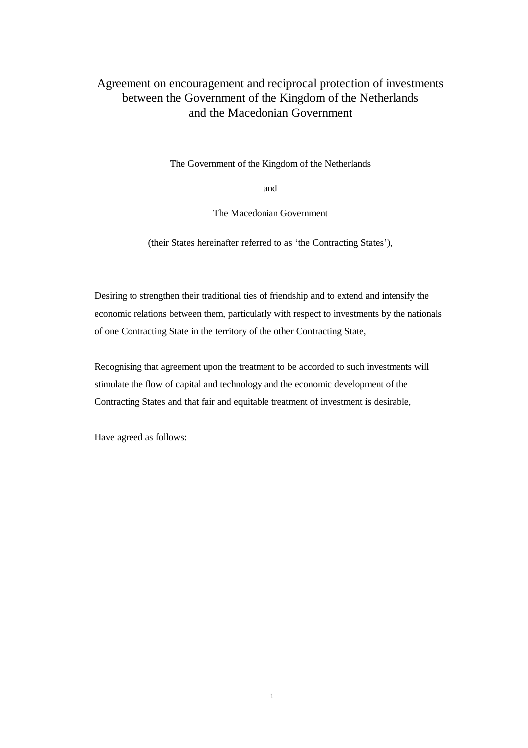# Agreement on encouragement and reciprocal protection of investments between the Government of the Kingdom of the Netherlands and the Macedonian Government

The Government of the Kingdom of the Netherlands

and

The Macedonian Government

(their States hereinafter referred to as 'the Contracting States'),

Desiring to strengthen their traditional ties of friendship and to extend and intensify the economic relations between them, particularly with respect to investments by the nationals of one Contracting State in the territory of the other Contracting State,

Recognising that agreement upon the treatment to be accorded to such investments will stimulate the flow of capital and technology and the economic development of the Contracting States and that fair and equitable treatment of investment is desirable,

Have agreed as follows: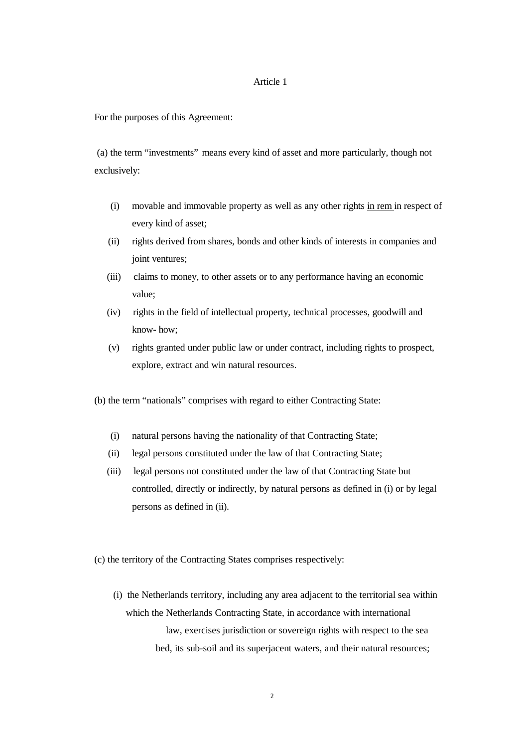## Article 1

For the purposes of this Agreement:

 (a) the term "investments" means every kind of asset and more particularly, though not exclusively:

- (i) movable and immovable property as well as any other rights in rem in respect of every kind of asset;
- (ii) rights derived from shares, bonds and other kinds of interests in companies and joint ventures;
- (iii) claims to money, to other assets or to any performance having an economic value;
- (iv) rights in the field of intellectual property, technical processes, goodwill and know- how;
- (v) rights granted under public law or under contract, including rights to prospect, explore, extract and win natural resources.

(b) the term "nationals" comprises with regard to either Contracting State:

- (i) natural persons having the nationality of that Contracting State;
- (ii) legal persons constituted under the law of that Contracting State;
- (iii) legal persons not constituted under the law of that Contracting State but controlled, directly or indirectly, by natural persons as defined in (i) or by legal persons as defined in (ii).

(c) the territory of the Contracting States comprises respectively:

(i) the Netherlands territory, including any area adjacent to the territorial sea within which the Netherlands Contracting State, in accordance with international law, exercises jurisdiction or sovereign rights with respect to the sea bed, its sub-soil and its superjacent waters, and their natural resources;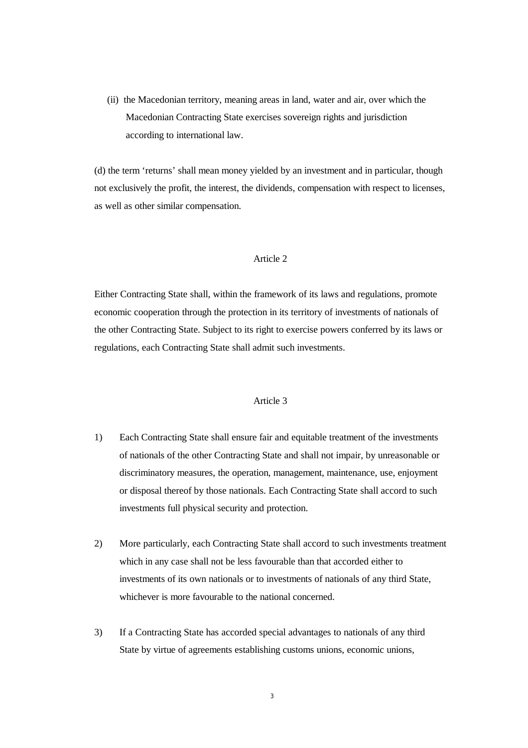(ii) the Macedonian territory, meaning areas in land, water and air, over which the Macedonian Contracting State exercises sovereign rights and jurisdiction according to international law.

(d) the term 'returns' shall mean money yielded by an investment and in particular, though not exclusively the profit, the interest, the dividends, compensation with respect to licenses, as well as other similar compensation.

### Article 2

Either Contracting State shall, within the framework of its laws and regulations, promote economic cooperation through the protection in its territory of investments of nationals of the other Contracting State. Subject to its right to exercise powers conferred by its laws or regulations, each Contracting State shall admit such investments.

- 1) Each Contracting State shall ensure fair and equitable treatment of the investments of nationals of the other Contracting State and shall not impair, by unreasonable or discriminatory measures, the operation, management, maintenance, use, enjoyment or disposal thereof by those nationals. Each Contracting State shall accord to such investments full physical security and protection.
- 2) More particularly, each Contracting State shall accord to such investments treatment which in any case shall not be less favourable than that accorded either to investments of its own nationals or to investments of nationals of any third State, whichever is more favourable to the national concerned.
- 3) If a Contracting State has accorded special advantages to nationals of any third State by virtue of agreements establishing customs unions, economic unions,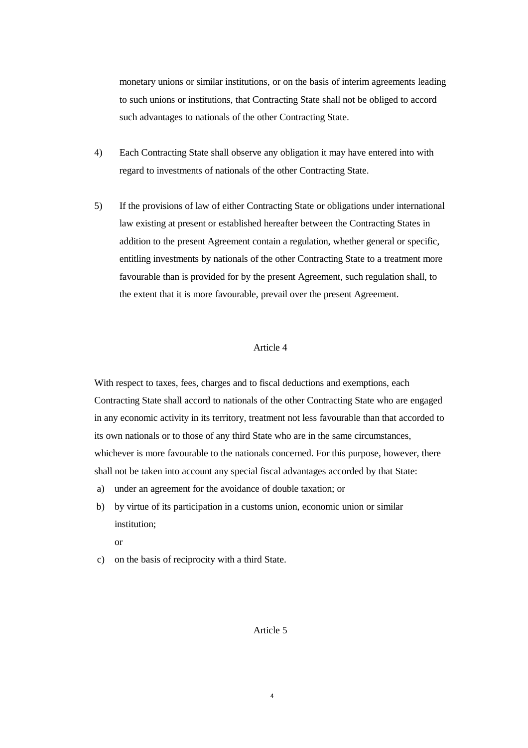monetary unions or similar institutions, or on the basis of interim agreements leading to such unions or institutions, that Contracting State shall not be obliged to accord such advantages to nationals of the other Contracting State.

- 4) Each Contracting State shall observe any obligation it may have entered into with regard to investments of nationals of the other Contracting State.
- 5) If the provisions of law of either Contracting State or obligations under international law existing at present or established hereafter between the Contracting States in addition to the present Agreement contain a regulation, whether general or specific, entitling investments by nationals of the other Contracting State to a treatment more favourable than is provided for by the present Agreement, such regulation shall, to the extent that it is more favourable, prevail over the present Agreement.

## Article 4

With respect to taxes, fees, charges and to fiscal deductions and exemptions, each Contracting State shall accord to nationals of the other Contracting State who are engaged in any economic activity in its territory, treatment not less favourable than that accorded to its own nationals or to those of any third State who are in the same circumstances, whichever is more favourable to the nationals concerned. For this purpose, however, there shall not be taken into account any special fiscal advantages accorded by that State:

- a) under an agreement for the avoidance of double taxation; or
- b) by virtue of its participation in a customs union, economic union or similar institution;

or

c) on the basis of reciprocity with a third State.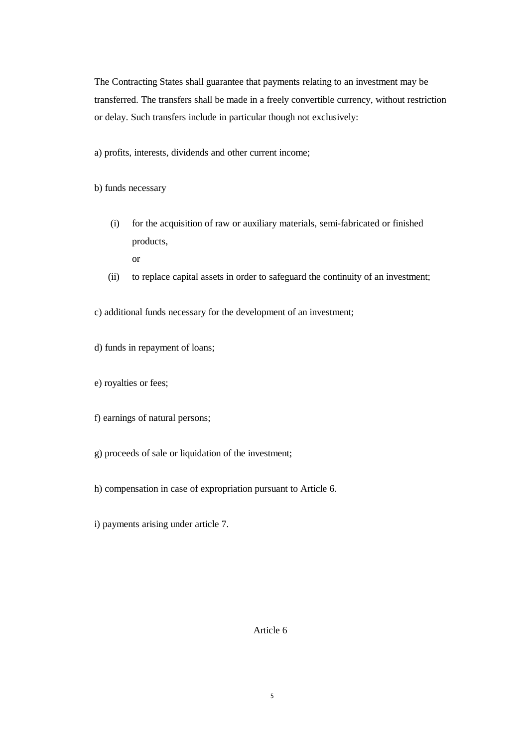The Contracting States shall guarantee that payments relating to an investment may be transferred. The transfers shall be made in a freely convertible currency, without restriction or delay. Such transfers include in particular though not exclusively:

a) profits, interests, dividends and other current income;

b) funds necessary

(i) for the acquisition of raw or auxiliary materials, semi-fabricated or finished products,

or

(ii) to replace capital assets in order to safeguard the continuity of an investment;

c) additional funds necessary for the development of an investment;

- d) funds in repayment of loans;
- e) royalties or fees;
- f) earnings of natural persons;
- g) proceeds of sale or liquidation of the investment;
- h) compensation in case of expropriation pursuant to Article 6.
- i) payments arising under article 7.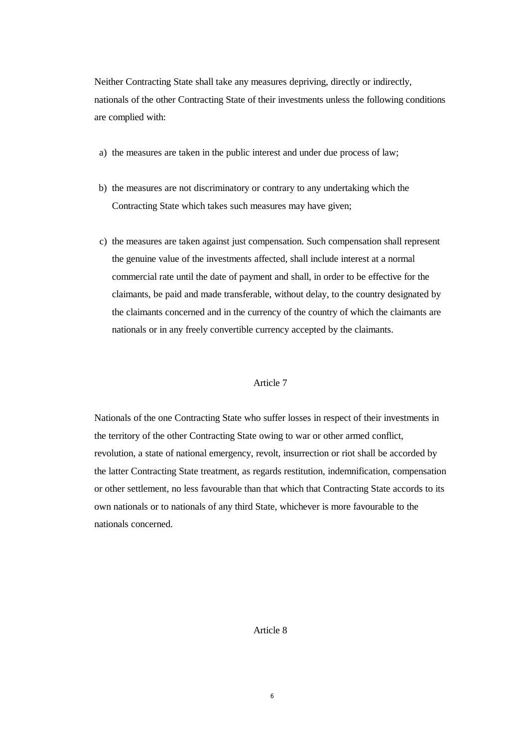Neither Contracting State shall take any measures depriving, directly or indirectly, nationals of the other Contracting State of their investments unless the following conditions are complied with:

- a) the measures are taken in the public interest and under due process of law;
- b) the measures are not discriminatory or contrary to any undertaking which the Contracting State which takes such measures may have given;
- c) the measures are taken against just compensation. Such compensation shall represent the genuine value of the investments affected, shall include interest at a normal commercial rate until the date of payment and shall, in order to be effective for the claimants, be paid and made transferable, without delay, to the country designated by the claimants concerned and in the currency of the country of which the claimants are nationals or in any freely convertible currency accepted by the claimants.

## Article 7

Nationals of the one Contracting State who suffer losses in respect of their investments in the territory of the other Contracting State owing to war or other armed conflict, revolution, a state of national emergency, revolt, insurrection or riot shall be accorded by the latter Contracting State treatment, as regards restitution, indemnification, compensation or other settlement, no less favourable than that which that Contracting State accords to its own nationals or to nationals of any third State, whichever is more favourable to the nationals concerned.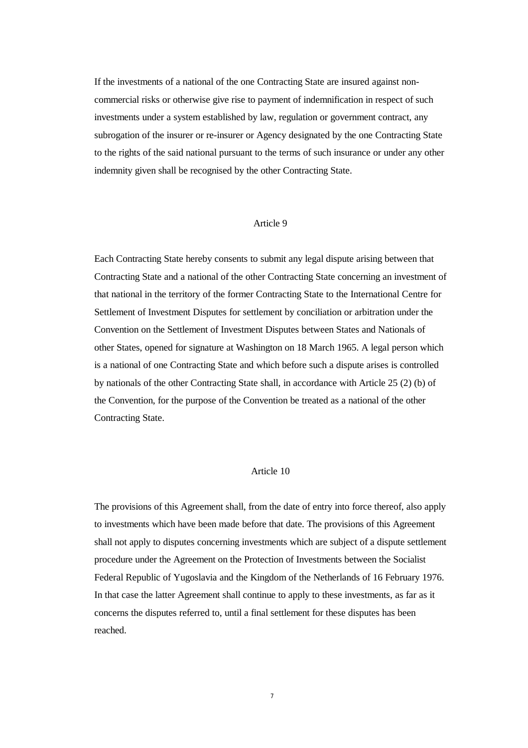If the investments of a national of the one Contracting State are insured against noncommercial risks or otherwise give rise to payment of indemnification in respect of such investments under a system established by law, regulation or government contract, any subrogation of the insurer or re-insurer or Agency designated by the one Contracting State to the rights of the said national pursuant to the terms of such insurance or under any other indemnity given shall be recognised by the other Contracting State.

### Article 9

Each Contracting State hereby consents to submit any legal dispute arising between that Contracting State and a national of the other Contracting State concerning an investment of that national in the territory of the former Contracting State to the International Centre for Settlement of Investment Disputes for settlement by conciliation or arbitration under the Convention on the Settlement of Investment Disputes between States and Nationals of other States, opened for signature at Washington on 18 March 1965. A legal person which is a national of one Contracting State and which before such a dispute arises is controlled by nationals of the other Contracting State shall, in accordance with Article 25 (2) (b) of the Convention, for the purpose of the Convention be treated as a national of the other Contracting State.

## Article 10

The provisions of this Agreement shall, from the date of entry into force thereof, also apply to investments which have been made before that date. The provisions of this Agreement shall not apply to disputes concerning investments which are subject of a dispute settlement procedure under the Agreement on the Protection of Investments between the Socialist Federal Republic of Yugoslavia and the Kingdom of the Netherlands of 16 February 1976. In that case the latter Agreement shall continue to apply to these investments, as far as it concerns the disputes referred to, until a final settlement for these disputes has been reached.

7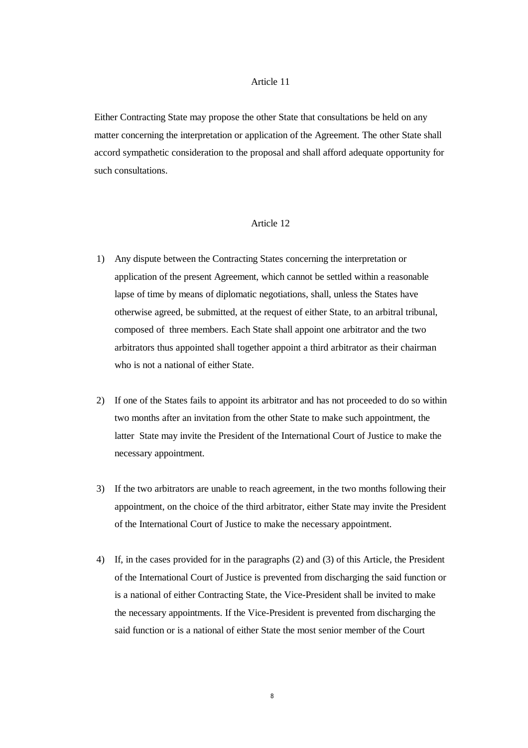## Article 11

Either Contracting State may propose the other State that consultations be held on any matter concerning the interpretation or application of the Agreement. The other State shall accord sympathetic consideration to the proposal and shall afford adequate opportunity for such consultations.

## Article 12

- 1) Any dispute between the Contracting States concerning the interpretation or application of the present Agreement, which cannot be settled within a reasonable lapse of time by means of diplomatic negotiations, shall, unless the States have otherwise agreed, be submitted, at the request of either State, to an arbitral tribunal, composed of three members. Each State shall appoint one arbitrator and the two arbitrators thus appointed shall together appoint a third arbitrator as their chairman who is not a national of either State.
- 2) If one of the States fails to appoint its arbitrator and has not proceeded to do so within two months after an invitation from the other State to make such appointment, the latter State may invite the President of the International Court of Justice to make the necessary appointment.
- 3) If the two arbitrators are unable to reach agreement, in the two months following their appointment, on the choice of the third arbitrator, either State may invite the President of the International Court of Justice to make the necessary appointment.
- 4) If, in the cases provided for in the paragraphs (2) and (3) of this Article, the President of the International Court of Justice is prevented from discharging the said function or is a national of either Contracting State, the Vice-President shall be invited to make the necessary appointments. If the Vice-President is prevented from discharging the said function or is a national of either State the most senior member of the Court

8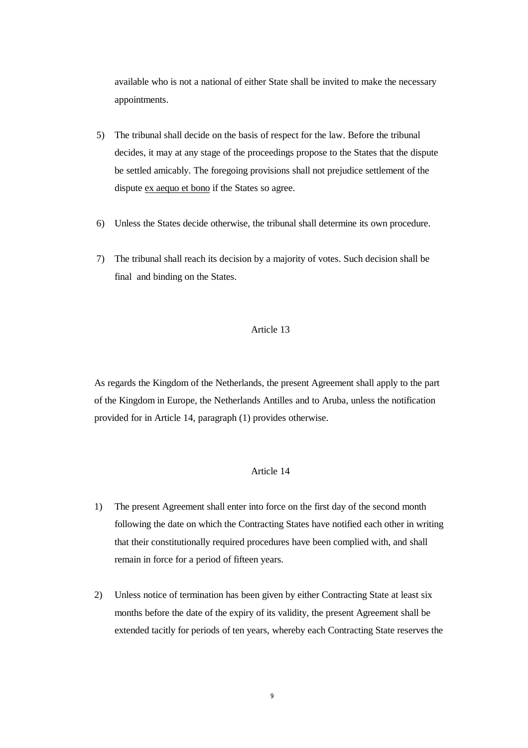available who is not a national of either State shall be invited to make the necessary appointments.

- 5) The tribunal shall decide on the basis of respect for the law. Before the tribunal decides, it may at any stage of the proceedings propose to the States that the dispute be settled amicably. The foregoing provisions shall not prejudice settlement of the dispute ex aequo et bono if the States so agree.
- 6) Unless the States decide otherwise, the tribunal shall determine its own procedure.
- 7) The tribunal shall reach its decision by a majority of votes. Such decision shall be final and binding on the States.

# Article 13

As regards the Kingdom of the Netherlands, the present Agreement shall apply to the part of the Kingdom in Europe, the Netherlands Antilles and to Aruba, unless the notification provided for in Article 14, paragraph (1) provides otherwise.

- 1) The present Agreement shall enter into force on the first day of the second month following the date on which the Contracting States have notified each other in writing that their constitutionally required procedures have been complied with, and shall remain in force for a period of fifteen years.
- 2) Unless notice of termination has been given by either Contracting State at least six months before the date of the expiry of its validity, the present Agreement shall be extended tacitly for periods of ten years, whereby each Contracting State reserves the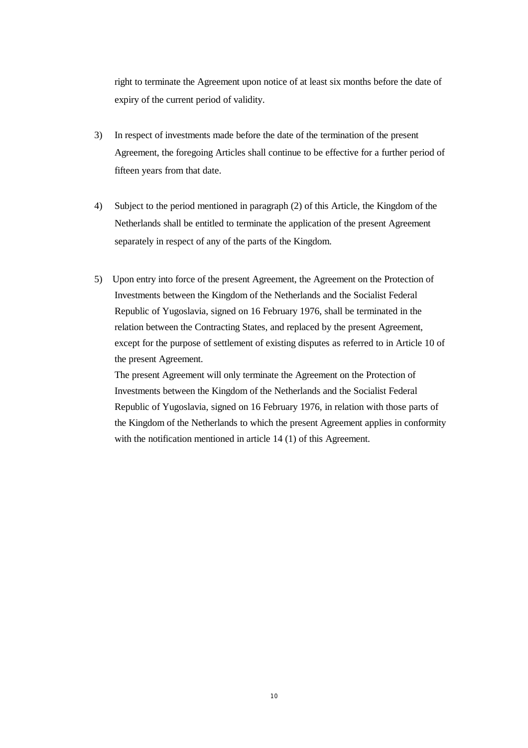right to terminate the Agreement upon notice of at least six months before the date of expiry of the current period of validity.

- 3) In respect of investments made before the date of the termination of the present Agreement, the foregoing Articles shall continue to be effective for a further period of fifteen years from that date.
- 4) Subject to the period mentioned in paragraph (2) of this Article, the Kingdom of the Netherlands shall be entitled to terminate the application of the present Agreement separately in respect of any of the parts of the Kingdom.
- 5) Upon entry into force of the present Agreement, the Agreement on the Protection of Investments between the Kingdom of the Netherlands and the Socialist Federal Republic of Yugoslavia, signed on 16 February 1976, shall be terminated in the relation between the Contracting States, and replaced by the present Agreement, except for the purpose of settlement of existing disputes as referred to in Article 10 of the present Agreement.

The present Agreement will only terminate the Agreement on the Protection of Investments between the Kingdom of the Netherlands and the Socialist Federal Republic of Yugoslavia, signed on 16 February 1976, in relation with those parts of the Kingdom of the Netherlands to which the present Agreement applies in conformity with the notification mentioned in article 14 (1) of this Agreement.